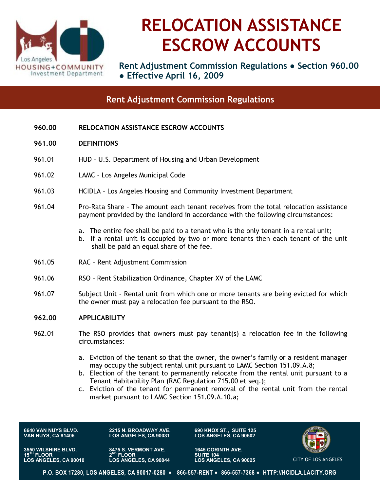

**Rent Adjustment Commission Regulations ● Section 960.00 ● Effective April 16, 2009**

**Rent Adjustment Commission Regulations**

- **960.00 RELOCATION ASSISTANCE ESCROW ACCOUNTS**
- **961.00 DEFINITIONS**
- 961.01 HUD U.S. Department of Housing and Urban Development
- 961.02 LAMC Los Angeles Municipal Code
- 961.03 HCIDLA Los Angeles Housing and Community Investment Department
- 961.04 Pro-Rata Share The amount each tenant receives from the total relocation assistance payment provided by the landlord in accordance with the following circumstances:
	- a. The entire fee shall be paid to a tenant who is the only tenant in a rental unit;
	- b. If a rental unit is occupied by two or more tenants then each tenant of the unit shall be paid an equal share of the fee.
- 961.05 RAC Rent Adjustment Commission
- 961.06 RSO Rent Stabilization Ordinance, Chapter XV of the LAMC
- 961.07 Subject Unit Rental unit from which one or more tenants are being evicted for which the owner must pay a relocation fee pursuant to the RSO.

#### **962.00 APPLICABILITY**

- 962.01 The RSO provides that owners must pay tenant(s) a relocation fee in the following circumstances:
	- a. Eviction of the tenant so that the owner, the owner's family or a resident manager may occupy the subject rental unit pursuant to LAMC Section 151.09.A.8;
	- b. Election of the tenant to permanently relocate from the rental unit pursuant to a Tenant Habitability Plan (RAC Regulation 715.00 et seq.);
	- c. Eviction of the tenant for permanent removal of the rental unit from the rental market pursuant to LAMC Section 151.09.A.10.a;

**6640 VAN NUYS BLVD. VAN NUYS, CA 91405**

**3550 WILSHIRE BLVD. 15TH FLOOR LOS ANGELES, CA 90010** **2215 N. BROADWAY AVE. LOS ANGELES, CA 90031**

**8475 S. VERMONT AVE. 2 FLOOR LOS ANGELES, CA 90044** **690 KNOX ST., SUITE 125 LOS ANGELES, CA 90502**

**1645 CORINTH AVE. SUITE 104 LOS ANGELES, CA 90025**



**P.O. BOX 17280, LOS ANGELES, CA 90017-0280 866-557-RENT 866-557-7368 HTTP://HCIDLA.LACITY.ORG**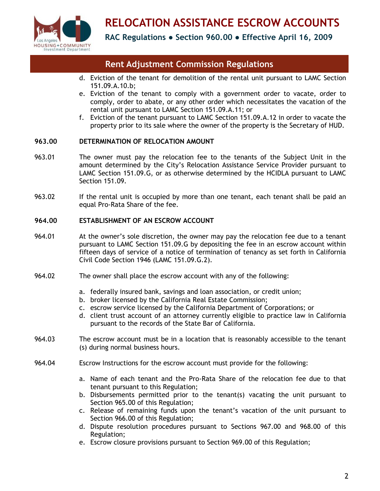

### **RAC Regulations ● Section 960.00 ● Effective April 16, 2009**

### **Rent Adjustment Commission Regulations**

- d. Eviction of the tenant for demolition of the rental unit pursuant to LAMC Section 151.09.A.10.b;
- e. Eviction of the tenant to comply with a government order to vacate, order to comply, order to abate, or any other order which necessitates the vacation of the rental unit pursuant to LAMC Section 151.09.A.11; or
- f. Eviction of the tenant pursuant to LAMC Section 151.09.A.12 in order to vacate the property prior to its sale where the owner of the property is the Secretary of HUD.

#### **963.00 DETERMINATION OF RELOCATION AMOUNT**

- 963.01 The owner must pay the relocation fee to the tenants of the Subject Unit in the amount determined by the City's Relocation Assistance Service Provider pursuant to LAMC Section 151.09.G, or as otherwise determined by the HCIDLA pursuant to LAMC Section 151.09.
- 963.02 If the rental unit is occupied by more than one tenant, each tenant shall be paid an equal Pro-Rata Share of the fee.

#### **964.00 ESTABLISHMENT OF AN ESCROW ACCOUNT**

- 964.01 At the owner's sole discretion, the owner may pay the relocation fee due to a tenant pursuant to LAMC Section 151.09.G by depositing the fee in an escrow account within fifteen days of service of a notice of termination of tenancy as set forth in California Civil Code Section 1946 (LAMC 151.09.G.2).
- 964.02 The owner shall place the escrow account with any of the following:
	- a. federally insured bank, savings and loan association, or credit union;
	- b. broker licensed by the California Real Estate Commission;
	- c. escrow service licensed by the California Department of Corporations; or
	- d. client trust account of an attorney currently eligible to practice law in California pursuant to the records of the State Bar of California.
- 964.03 The escrow account must be in a location that is reasonably accessible to the tenant (s) during normal business hours.
- 964.04 Escrow Instructions for the escrow account must provide for the following:
	- a. Name of each tenant and the Pro-Rata Share of the relocation fee due to that tenant pursuant to this Regulation;
	- b. Disbursements permitted prior to the tenant(s) vacating the unit pursuant to Section 965.00 of this Regulation;
	- c. Release of remaining funds upon the tenant's vacation of the unit pursuant to Section 966.00 of this Regulation;
	- d. Dispute resolution procedures pursuant to Sections 967.00 and 968.00 of this Regulation;
	- e. Escrow closure provisions pursuant to Section 969.00 of this Regulation;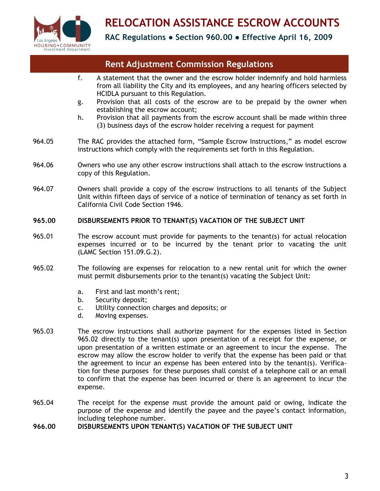

**RAC Regulations ● Section 960.00 ● Effective April 16, 2009**

### **Rent Adjustment Commission Regulations**

- f. A statement that the owner and the escrow holder indemnify and hold harmless from all liability the City and its employees, and any hearing officers selected by HCIDLA pursuant to this Regulation.
- g. Provision that all costs of the escrow are to be prepaid by the owner when establishing the escrow account;
- h. Provision that all payments from the escrow account shall be made within three (3) business days of the escrow holder receiving a request for payment
- 964.05 The RAC provides the attached form, "Sample Escrow Instructions," as model escrow instructions which comply with the requirements set forth in this Regulation.
- 964.06 Owners who use any other escrow instructions shall attach to the escrow instructions a copy of this Regulation.
- 964.07 Owners shall provide a copy of the escrow instructions to all tenants of the Subject Unit within fifteen days of service of a notice of termination of tenancy as set forth in California Civil Code Section 1946.
- **965.00 DISBURSEMENTS PRIOR TO TENANT(S) VACATION OF THE SUBJECT UNIT**
- 965.01 The escrow account must provide for payments to the tenant(s) for actual relocation expenses incurred or to be incurred by the tenant prior to vacating the unit (LAMC Section 151.09.G.2).
- 965.02 The following are expenses for relocation to a new rental unit for which the owner must permit disbursements prior to the tenant(s) vacating the Subject Unit:
	- a. First and last month's rent;
	- b. Security deposit;
	- c. Utility connection charges and deposits; or
	- d. Moving expenses.
- 965.03 The escrow instructions shall authorize payment for the expenses listed in Section 965.02 directly to the tenant(s) upon presentation of a receipt for the expense, or upon presentation of a written estimate or an agreement to incur the expense. The escrow may allow the escrow holder to verify that the expense has been paid or that the agreement to incur an expense has been entered into by the tenant(s). Verification for these purposes for these purposes shall consist of a telephone call or an email to confirm that the expense has been incurred or there is an agreement to incur the expense.
- 965.04 The receipt for the expense must provide the amount paid or owing, indicate the purpose of the expense and identify the payee and the payee's contact information, including telephone number.

### **966.00 DISBURSEMENTS UPON TENANT(S) VACATION OF THE SUBJECT UNIT**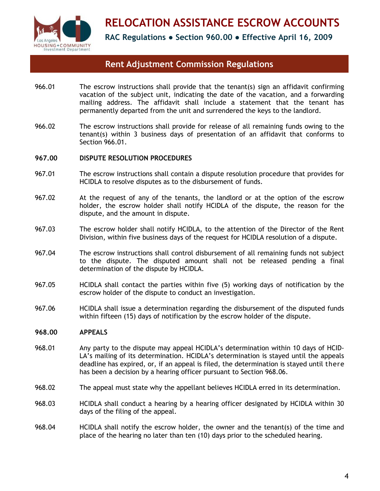

### **RAC Regulations ● Section 960.00 ● Effective April 16, 2009**

### **Rent Adjustment Commission Regulations**

- 966.01 The escrow instructions shall provide that the tenant(s) sign an affidavit confirming vacation of the subject unit, indicating the date of the vacation, and a forwarding mailing address. The affidavit shall include a statement that the tenant has permanently departed from the unit and surrendered the keys to the landlord.
- 966.02 The escrow instructions shall provide for release of all remaining funds owing to the tenant(s) within 3 business days of presentation of an affidavit that conforms to Section 966.01.
- **967.00 DISPUTE RESOLUTION PROCEDURES**
- 967.01 The escrow instructions shall contain a dispute resolution procedure that provides for HCIDLA to resolve disputes as to the disbursement of funds.
- 967.02 At the request of any of the tenants, the landlord or at the option of the escrow holder, the escrow holder shall notify HCIDLA of the dispute, the reason for the dispute, and the amount in dispute.
- 967.03 The escrow holder shall notify HCIDLA, to the attention of the Director of the Rent Division, within five business days of the request for HCIDLA resolution of a dispute.
- 967.04 The escrow instructions shall control disbursement of all remaining funds not subject to the dispute. The disputed amount shall not be released pending a final determination of the dispute by HCIDLA.
- 967.05 HCIDLA shall contact the parties within five (5) working days of notification by the escrow holder of the dispute to conduct an investigation.
- 967.06 HCIDLA shall issue a determination regarding the disbursement of the disputed funds within fifteen (15) days of notification by the escrow holder of the dispute.

#### **968.00 APPEALS**

- 968.01 Any party to the dispute may appeal HCIDLA's determination within 10 days of HCID-LA's mailing of its determination. HCIDLA's determination is stayed until the appeals deadline has expired, or, if an appeal is filed, the determination is stayed until there has been a decision by a hearing officer pursuant to Section 968.06.
- 968.02 The appeal must state why the appellant believes HCIDLA erred in its determination.
- 968.03 HCIDLA shall conduct a hearing by a hearing officer designated by HCIDLA within 30 days of the filing of the appeal.
- 968.04 HCIDLA shall notify the escrow holder, the owner and the tenant(s) of the time and place of the hearing no later than ten (10) days prior to the scheduled hearing.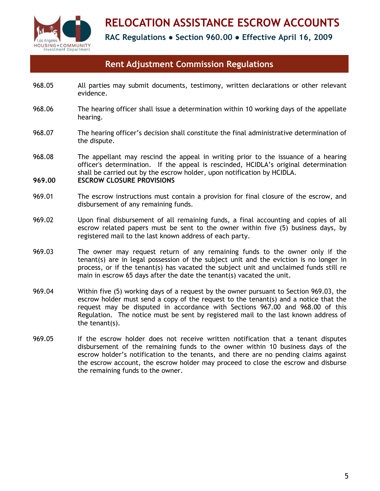

**RAC Regulations ● Section 960.00 ● Effective April 16, 2009**

## **Rent Adjustment Commission Regulations**

- 968.05 All parties may submit documents, testimony, written declarations or other relevant evidence.
- 968.06 The hearing officer shall issue a determination within 10 working days of the appellate hearing.
- 968.07 The hearing officer's decision shall constitute the final administrative determination of the dispute.
- 968.08 The appellant may rescind the appeal in writing prior to the issuance of a hearing officer's determination. If the appeal is rescinded, HCIDLA's original determination shall be carried out by the escrow holder, upon notification by HCIDLA.

### **969.00 ESCROW CLOSURE PROVISIONS**

- 969.01 The escrow instructions must contain a provision for final closure of the escrow, and disbursement of any remaining funds.
- 969.02 Upon final disbursement of all remaining funds, a final accounting and copies of all escrow related papers must be sent to the owner within five (5) business days, by registered mail to the last known address of each party.
- 969.03 The owner may request return of any remaining funds to the owner only if the tenant(s) are in legal possession of the subject unit and the eviction is no longer in process, or if the tenant(s) has vacated the subject unit and unclaimed funds still re main in escrow 65 days after the date the tenant(s) vacated the unit.
- 969.04 Within five (5) working days of a request by the owner pursuant to Section 969.03, the escrow holder must send a copy of the request to the tenant(s) and a notice that the request may be disputed in accordance with Sections 967.00 and 968.00 of this Regulation. The notice must be sent by registered mail to the last known address of the tenant(s).
- 969.05 If the escrow holder does not receive written notification that a tenant disputes disbursement of the remaining funds to the owner within 10 business days of the escrow holder's notification to the tenants, and there are no pending claims against the escrow account, the escrow holder may proceed to close the escrow and disburse the remaining funds to the owner.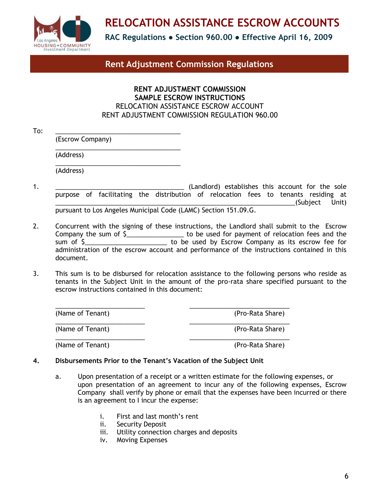

document.

# **RELOCATION ASSISTANCE ESCROW ACCOUNTS**

### **RAC Regulations ● Section 960.00 ● Effective April 16, 2009**

# **Rent Adjustment Commission Regulations**

### **RENT ADJUSTMENT COMMISSION SAMPLE ESCROW INSTRUCTIONS** RELOCATION ASSISTANCE ESCROW ACCOUNT RENT ADJUSTMENT COMMISSION REGULATION 960.00

| To: |                                                                                                          |
|-----|----------------------------------------------------------------------------------------------------------|
|     | (Escrow Company)                                                                                         |
|     | (Address)                                                                                                |
|     | (Address)                                                                                                |
| 1.  | (Landlord) establishes this account for the sole                                                         |
|     | purpose of facilitating the distribution of relocation fees to tenants residing at<br>(Subject)<br>Unit) |
|     | pursuant to Los Angeles Municipal Code (LAMC) Section 151.09.G.                                          |
| 2.  | Concurrent with the signing of these instructions, the Landlord shall submit to the Escrow               |
|     | Company the sum of $\zeta$ ____________________ to be used for payment of relocation fees and the        |
|     | to be used by Escrow Company as its escrow fee for<br>sum of S                                           |
|     | administration of the escrow account and performance of the instructions contained in this               |

3. This sum is to be disbursed for relocation assistance to the following persons who reside as tenants in the Subject Unit in the amount of the pro-rata share specified pursuant to the escrow instructions contained in this document:

| (Name of Tenant) | (Pro-Rata Share) |
|------------------|------------------|
| (Name of Tenant) | (Pro-Rata Share) |
| (Name of Tenant) | (Pro-Rata Share) |

### **4. Disbursements Prior to the Tenant's Vacation of the Subject Unit**

- a. Upon presentation of a receipt or a written estimate for the following expenses, or upon presentation of an agreement to incur any of the following expenses, Escrow Company shall verify by phone or email that the expenses have been incurred or there is an agreement to I incur the expense:
	- i. First and last month's rent
	- ii. Security Deposit
	- iii. Utility connection charges and deposits
	- iv. Moving Expenses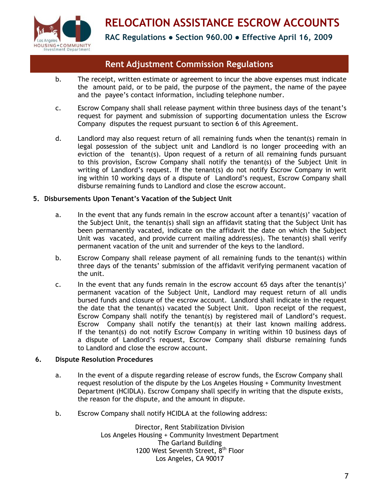

### **RAC Regulations ● Section 960.00 ● Effective April 16, 2009**

### **Rent Adjustment Commission Regulations**

- b. The receipt, written estimate or agreement to incur the above expenses must indicate the amount paid, or to be paid, the purpose of the payment, the name of the payee and the payee's contact information, including telephone number.
- c. Escrow Company shall shall release payment within three business days of the tenant's request for payment and submission of supporting documentation unless the Escrow Company disputes the request pursuant to section 6 of this Agreement.
- d. Landlord may also request return of all remaining funds when the tenant(s) remain in legal possession of the subject unit and Landlord is no longer proceeding with an eviction of the tenant(s). Upon request of a return of all remaining funds pursuant to this provision, Escrow Company shall notify the tenant(s) of the Subject Unit in writing of Landlord's request. If the tenant(s) do not notify Escrow Company in writ ing within 10 working days of a dispute of Landlord's request, Escrow Company shall disburse remaining funds to Landlord and close the escrow account.

#### **5. Disbursements Upon Tenant's Vacation of the Subject Unit**

- a. In the event that any funds remain in the escrow account after a tenant(s)' vacation of the Subject Unit, the tenant(s) shall sign an affidavit stating that the Subject Unit has been permanently vacated, indicate on the affidavit the date on which the Subject Unit was vacated, and provide current mailing address(es). The tenant(s) shall verify permanent vacation of the unit and surrender of the keys to the landlord.
- b. Escrow Company shall release payment of all remaining funds to the tenant(s) within three days of the tenants' submission of the affidavit verifying permanent vacation of the unit.
- c. In the event that any funds remain in the escrow account 65 days after the tenant(s)' permanent vacation of the Subject Unit, Landlord may request return of all undis bursed funds and closure of the escrow account. Landlord shall indicate in the request the date that the tenant(s) vacated the Subject Unit. Upon receipt of the request, Escrow Company shall notify the tenant(s) by registered mail of Landlord's request. Escrow Company shall notify the tenant(s) at their last known mailing address. If the tenant(s) do not notify Escrow Company in writing within 10 business days of a dispute of Landlord's request, Escrow Company shall disburse remaining funds to Landlord and close the escrow account.

### **6. Dispute Resolution Procedures**

- a. In the event of a dispute regarding release of escrow funds, the Escrow Company shall request resolution of the dispute by the Los Angeles Housing + Community Investment Department (HCIDLA). Escrow Company shall specify in writing that the dispute exists, the reason for the dispute, and the amount in dispute.
- b. Escrow Company shall notify HCIDLA at the following address:

Director, Rent Stabilization Division Los Angeles Housing + Community Investment Department The Garland Building 1200 West Seventh Street,  $\tilde{8}^{th}$  Floor Los Angeles, CA 90017